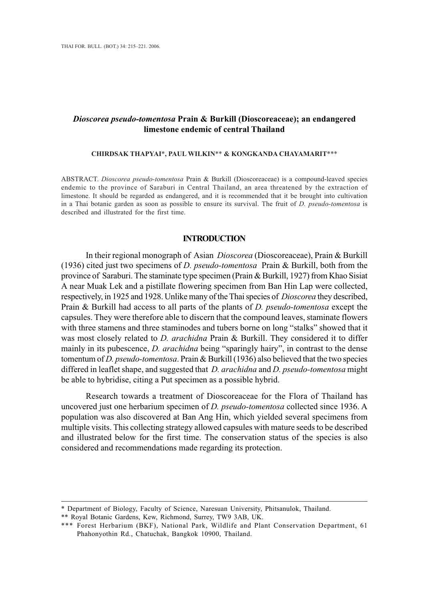# *Dioscorea pseudo-tomentosa* **Prain & Burkill (Dioscoreaceae); an endangered limestone endemic of central Thailand**

### **CHIRDSAK THAPYAI**\***, PAUL WILKIN**\*\* **& KONGKANDA CHAYAMARIT**\*\*\*

ABSTRACT. *Dioscorea pseudo-tomentosa* Prain & Burkill (Dioscoreaceae) is a compound-leaved species endemic to the province of Saraburi in Central Thailand, an area threatened by the extraction of limestone. It should be regarded as endangered, and it is recommended that it be brought into cultivation in a Thai botanic garden as soon as possible to ensure its survival. The fruit of *D. pseudo-tomentosa* is described and illustrated for the first time.

#### **INTRODUCTION**

In their regional monograph of Asian *Dioscorea* (Dioscoreaceae), Prain & Burkill (1936) cited just two specimens of *D. pseudo-tomentosa* Prain & Burkill, both from the province of Saraburi. The staminate type specimen (Prain & Burkill, 1927) from Khao Sisiat A near Muak Lek and a pistillate flowering specimen from Ban Hin Lap were collected, respectively, in 1925 and 1928. Unlike many of the Thai species of *Dioscorea* they described, Prain & Burkill had access to all parts of the plants of *D. pseudo-tomentosa* except the capsules. They were therefore able to discern that the compound leaves, staminate flowers with three stamens and three staminodes and tubers borne on long "stalks" showed that it was most closely related to *D. arachidna* Prain & Burkill. They considered it to differ mainly in its pubescence, *D. arachidna* being "sparingly hairy", in contrast to the dense tomentum of *D. pseudo-tomentosa*. Prain & Burkill (1936) also believed that the two species differed in leaflet shape, and suggested that *D. arachidna* and *D. pseudo-tomentosa* might be able to hybridise, citing a Put specimen as a possible hybrid.

Research towards a treatment of Dioscoreaceae for the Flora of Thailand has uncovered just one herbarium specimen of *D. pseudo-tomentosa* collected since 1936. A population was also discovered at Ban Ang Hin, which yielded several specimens from multiple visits. This collecting strategy allowed capsules with mature seeds to be described and illustrated below for the first time. The conservation status of the species is also considered and recommendations made regarding its protection.

<sup>\*</sup> Department of Biology, Faculty of Science, Naresuan University, Phitsanulok, Thailand.

<sup>\*\*</sup> Royal Botanic Gardens, Kew, Richmond, Surrey, TW9 3AB, UK.

<sup>\*\*\*</sup> Forest Herbarium (BKF), National Park, Wildlife and Plant Conservation Department, 61 Phahonyothin Rd., Chatuchak, Bangkok 10900, Thailand.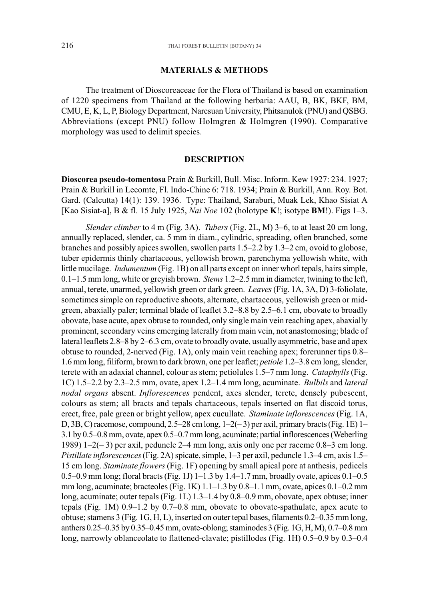#### **MATERIALS & METHODS**

The treatment of Dioscoreaceae for the Flora of Thailand is based on examination of 1220 specimens from Thailand at the following herbaria: AAU, B, BK, BKF, BM, CMU, E, K, L, P, Biology Department, Naresuan University, Phitsanulok (PNU) and QSBG. Abbreviations (except PNU) follow Holmgren & Holmgren (1990). Comparative morphology was used to delimit species.

# **DESCRIPTION**

**Dioscorea pseudo-tomentosa** Prain & Burkill, Bull. Misc. Inform. Kew 1927: 234. 1927; Prain & Burkill in Lecomte, Fl. Indo-Chine 6: 718. 1934; Prain & Burkill, Ann. Roy. Bot. Gard. (Calcutta) 14(1): 139. 1936. Type: Thailand, Saraburi, Muak Lek, Khao Sisiat A [Kao Sisiat-a], B & fl. 15 July 1925, *Nai Noe* 102 (holotype **K**!; isotype **BM**!). Figs 1–3.

*Slender climber* to 4 m (Fig. 3A). *Tubers* (Fig. 2L, M) 3–6, to at least 20 cm long, annually replaced, slender, ca. 5 mm in diam., cylindric, spreading, often branched, some branches and possibly apices swollen, swollen parts 1.5–2.2 by 1.3–2 cm, ovoid to globose, tuber epidermis thinly chartaceous, yellowish brown, parenchyma yellowish white, with little mucilage. *Indumentum* (Fig. 1B) on all parts except on inner whorl tepals, hairs simple, 0.1–1.5 mm long, white or greyish brown. *Stems* 1.2–2.5 mm in diameter, twining to the left, annual, terete, unarmed, yellowish green or dark green. *Leaves* (Fig. 1A, 3A, D) 3-foliolate, sometimes simple on reproductive shoots, alternate, chartaceous, yellowish green or midgreen, abaxially paler; terminal blade of leaflet 3.2–8.8 by 2.5–6.1 cm, obovate to broadly obovate, base acute, apex obtuse to rounded, only single main vein reaching apex, abaxially prominent, secondary veins emerging laterally from main vein, not anastomosing; blade of lateral leaflets 2.8–8 by 2–6.3 cm, ovate to broadly ovate, usually asymmetric, base and apex obtuse to rounded, 2-nerved (Fig. 1A), only main vein reaching apex; forerunner tips 0.8– 1.6 mm long, filiform, brown to dark brown, one per leaflet; *petiole* 1.2–3.8 cm long, slender, terete with an adaxial channel, colour as stem; petiolules 1.5–7 mm long. *Cataphylls* (Fig. 1C) 1.5–2.2 by 2.3–2.5 mm, ovate, apex 1.2–1.4 mm long, acuminate. *Bulbils* and *lateral nodal organs* absent. *Inflorescences* pendent, axes slender, terete, densely pubescent, colours as stem; all bracts and tepals chartaceous, tepals inserted on flat discoid torus, erect, free, pale green or bright yellow, apex cucullate. *Staminate inflorescences* (Fig. 1A, D, 3B, C) racemose, compound, 2.5–28 cm long, 1–2(– 3) per axil, primary bracts (Fig. 1E) 1– 3.1 by 0.5–0.8 mm, ovate, apex 0.5–0.7 mm long, acuminate; partial inflorescences (Weberling 1989) 1–2(– 3) per axil, peduncle 2–4 mm long, axis only one per raceme 0.8–3 cm long. *Pistillate inflorescences* (Fig. 2A) spicate, simple, 1–3 per axil, peduncle 1.3–4 cm, axis 1.5– 15 cm long. *Staminate flowers* (Fig. 1F) opening by small apical pore at anthesis, pedicels 0.5–0.9 mm long; floral bracts (Fig. 1J)  $1-1.3$  by  $1.4-1.7$  mm, broadly ovate, apices  $0.1-0.5$ mm long, acuminate; bracteoles (Fig. 1K) 1.1–1.3 by 0.8–1.1 mm, ovate, apices 0.1–0.2 mm long, acuminate; outer tepals (Fig. 1L) 1.3–1.4 by 0.8–0.9 mm, obovate, apex obtuse; inner tepals (Fig. 1M) 0.9–1.2 by 0.7–0.8 mm, obovate to obovate-spathulate, apex acute to obtuse; stamens 3 (Fig. 1G, H, L), inserted on outer tepal bases, filaments 0.2–0.35 mm long, anthers 0.25–0.35 by 0.35–0.45 mm, ovate-oblong; staminodes 3 (Fig. 1G, H, M), 0.7–0.8 mm long, narrowly oblanceolate to flattened-clavate; pistillodes (Fig. 1H) 0.5–0.9 by 0.3–0.4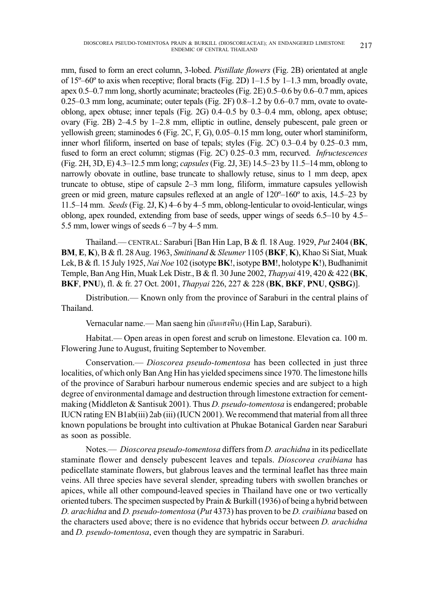mm, fused to form an erect column, 3-lobed. *Pistillate flowers* (Fig. 2B) orientated at angle of 15º–60º to axis when receptive; floral bracts (Fig. 2D) 1–1.5 by 1–1.3 mm, broadly ovate, apex 0.5–0.7 mm long, shortly acuminate; bracteoles (Fig. 2E) 0.5–0.6 by 0.6–0.7 mm, apices 0.25–0.3 mm long, acuminate; outer tepals (Fig. 2F) 0.8–1.2 by 0.6–0.7 mm, ovate to ovateoblong, apex obtuse; inner tepals (Fig. 2G) 0.4–0.5 by 0.3–0.4 mm, oblong, apex obtuse; ovary (Fig. 2B) 2–4.5 by 1–2.8 mm, elliptic in outline, densely pubescent, pale green or yellowish green; staminodes 6 (Fig. 2C, F, G), 0.05–0.15 mm long, outer whorl staminiform, inner whorl filiform, inserted on base of tepals; styles (Fig. 2C) 0.3–0.4 by 0.25–0.3 mm, fused to form an erect column; stigmas (Fig. 2C) 0.25–0.3 mm, recurved. *Infructescences* (Fig. 2H, 3D, E) 4.3–12.5 mm long; *capsules* (Fig. 2J, 3E) 14.5–23 by 11.5–14 mm, oblong to narrowly obovate in outline, base truncate to shallowly retuse, sinus to 1 mm deep, apex truncate to obtuse, stipe of capsule 2–3 mm long, filiform, immature capsules yellowish green or mid green, mature capsules reflexed at an angle of 120º–160º to axis, 14.5–23 by 11.5–14 mm. *Seeds* (Fig. 2J, K) 4–6 by 4–5 mm, oblong-lenticular to ovoid-lenticular, wings oblong, apex rounded, extending from base of seeds, upper wings of seeds 6.5–10 by 4.5– 5.5 mm, lower wings of seeds 6 –7 by 4–5 mm.

Thailand.— CENTRAL: Saraburi [Ban Hin Lap, B & fl. 18 Aug. 1929, *Put* 2404 (**BK**, **BM**, **E**, **K**), B & fl. 28 Aug. 1963, *Smitinand* & *Sleumer* 1105 (**BKF**, **K**), Khao Si Siat, Muak Lek, B & fl. 15 July 1925, *Nai Noe* 102 (isotype **BK**!, isotype **BM**!, holotype **K**!), Budhanimit Temple, Ban Ang Hin, Muak Lek Distr., B & fl. 30 June 2002, *Thapyai* 419, 420 & 422 (**BK**, **BKF**, **PNU**), fl. & fr. 27 Oct. 2001, *Thapyai* 226, 227 & 228 (**BK**, **BKF**, **PNU**, **QSBG**)].

Distribution.— Known only from the province of Saraburi in the central plains of Thailand.

Vernacular name.— Man saeng hin (มันแสงหิน) (Hin Lap, Saraburi).

Habitat.— Open areas in open forest and scrub on limestone. Elevation ca. 100 m. Flowering June to August, fruiting September to November.

Conservation.— *Dioscorea pseudo-tomentosa* has been collected in just three localities, of which only Ban Ang Hin has yielded specimens since 1970. The limestone hills of the province of Saraburi harbour numerous endemic species and are subject to a high degree of environmental damage and destruction through limestone extraction for cementmaking (Middleton & Santisuk 2001). Thus *D. pseudo-tomentosa* is endangered; probable IUCN rating EN B1ab(iii) 2ab (iii) (IUCN 2001). We recommend that material from all three known populations be brought into cultivation at Phukae Botanical Garden near Saraburi as soon as possible.

Notes.— *Dioscorea pseudo-tomentosa* differs from *D. arachidna* in its pedicellate staminate flower and densely pubescent leaves and tepals. *Dioscorea craibiana* has pedicellate staminate flowers, but glabrous leaves and the terminal leaflet has three main veins. All three species have several slender, spreading tubers with swollen branches or apices, while all other compound-leaved species in Thailand have one or two vertically oriented tubers. The specimen suspected by Prain & Burkill (1936) of being a hybrid between *D. arachidna* and *D. pseudo-tomentosa* (*Put* 4373) has proven to be *D. craibiana* based on the characters used above; there is no evidence that hybrids occur between *D. arachidna* and *D. pseudo-tomentosa*, even though they are sympatric in Saraburi.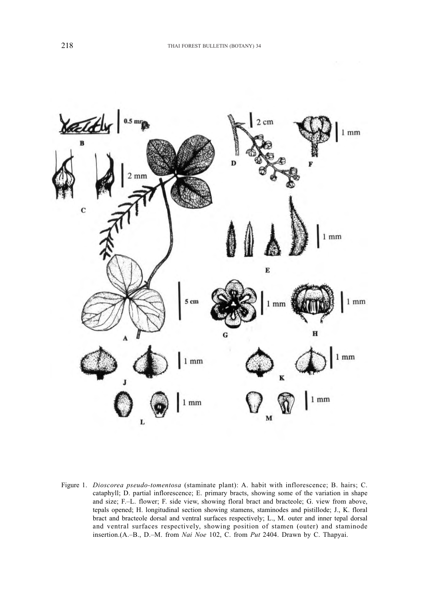

Figure 1. *Dioscorea pseudo-tomentosa* (staminate plant): A. habit with inflorescence; B. hairs; C. cataphyll; D. partial inflorescence; E. primary bracts, showing some of the variation in shape and size; F.–L. flower; F. side view, showing floral bract and bracteole; G. view from above, tepals opened; H. longitudinal section showing stamens, staminodes and pistillode; J., K. floral bract and bracteole dorsal and ventral surfaces respectively; L., M. outer and inner tepal dorsal and ventral surfaces respectively, showing position of stamen (outer) and staminode insertion.(A.–B., D.–M. from *Nai Noe* 102, C. from *Put* 2404. Drawn by C. Thapyai.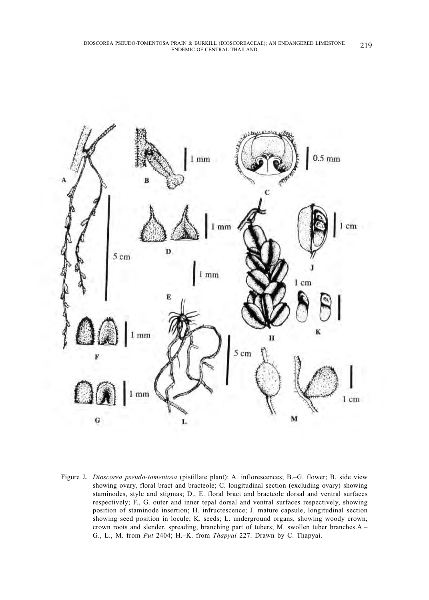

Figure 2. *Dioscorea pseudo-tomentosa* (pistillate plant): A. inflorescences; B.–G. flower; B. side view showing ovary, floral bract and bracteole; C. longitudinal section (excluding ovary) showing staminodes, style and stigmas; D., E. floral bract and bracteole dorsal and ventral surfaces respectively; F., G. outer and inner tepal dorsal and ventral surfaces respectively, showing position of staminode insertion; H. infructescence; J. mature capsule, longitudinal section showing seed position in locule; K. seeds; L. underground organs, showing woody crown, crown roots and slender, spreading, branching part of tubers; M. swollen tuber branches.A.– G., L., M. from *Put* 2404; H.–K. from *Thapyai* 227. Drawn by C. Thapyai.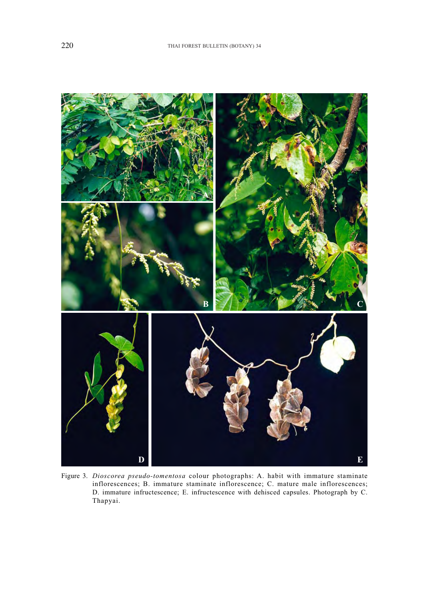

Figure 3. *Dioscorea pseudo-tomentosa* colour photographs: A. habit with immature staminate inflorescences; B. immature staminate inflorescence; C. mature male inflorescences; D. immature infructescence; E. infructescence with dehisced capsules. Photograph by C. Thapyai.